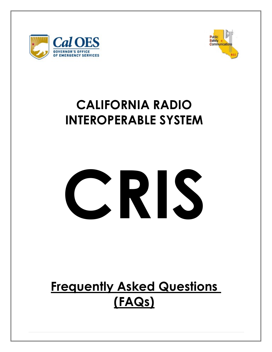



## **CALIFORNIA RADIO INTEROPERABLE SYSTEM**



# **Frequently Asked Questions (FAQs)**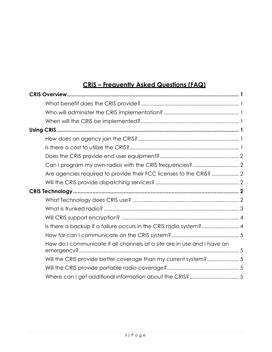### **CRIS – Frequently Asked Questions (FAQ)**

| Are agencies required to provide their FCC licenses to the CRIS?  2                   |  |
|---------------------------------------------------------------------------------------|--|
|                                                                                       |  |
|                                                                                       |  |
|                                                                                       |  |
|                                                                                       |  |
|                                                                                       |  |
|                                                                                       |  |
| Is there a backup if a failure occurs in the CRIS radio system? 4                     |  |
|                                                                                       |  |
| How do I communicate if all channels at a site are in use and I have an<br>emergency? |  |
| Will the CRIS provide better coverage than my current system? 5                       |  |
|                                                                                       |  |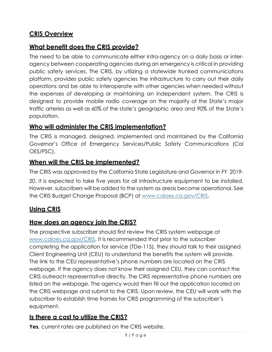#### <span id="page-2-0"></span>**CRIS Overview**

#### <span id="page-2-1"></span>**What benefit does the CRIS provide?**

The need to be able to communicate either intra-agency on a daily basis or interagency between cooperating agencies during an emergency is critical in providing public safety services. The CRIS, by utilizing a statewide trunked communications platform, provides public safety agencies the infrastructure to carry out their daily operations and be able to interoperate with other agencies when needed without the expenses of developing or maintaining an independent system. The CRIS is designed to provide mobile radio coverage on the majority of the State's major traffic arteries as well as 60% of the state's geographic area and 90% of the State's population.

#### <span id="page-2-2"></span>**Who will administer the CRIS implementation?**

The CRIS is managed, designed, implemented and maintained by the California Governor's Office of Emergency Services/Public Safety Communications (Cal OES/PSC).

#### <span id="page-2-3"></span>**When will the CRIS be implemented?**

The CRIS was approved by the California State Legislature and Governor in FY 2019-

20. It is expected to take five years for all infrastructure equipment to be installed. However, subscribers will be added to the system as areas become operational. See the CRIS Budget Change Proposal (BCP) at [www.caloes.ca.gov/CRIS.](http://www.caloes.ca.gov/CRIS)

#### <span id="page-2-4"></span>**Using CRIS**

#### <span id="page-2-5"></span>**How does an agency join the CRIS?**

The prospective subscriber should first review the CRIS system webpage at [www.caloes.ca.gov/CRIS. I](http://www.caloes.ca.gov/CRIS)t is recommended that prior to the subscriber completing the application for service (TDe-115), they should talk to their assigned Client Engineering Unit (CEU) to understand the benefits the system will provide. The link to the CEU representative's phone numbers are located on the CRIS webpage. If the agency does not know their assigned CEU, they can contact the CRIS outreach representative directly. The CRIS representative phone numbers are listed on the webpage. The agency would then fill out the application located on the CRIS webpage and submit to the CRIS. Upon review, the CEU will work with the subscriber to establish time frames for CRIS programming of the subscriber's equipment.

#### <span id="page-2-6"></span>**Is there a cost to utilize the CRIS?**

**Yes**, current rates are published on the CRIS website.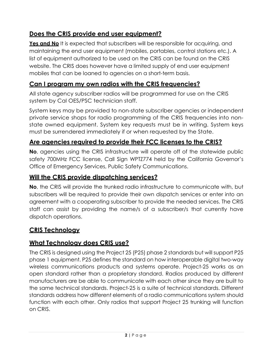#### <span id="page-3-0"></span>**Does the CRIS provide end user equipment?**

**Yes and No** It is expected that subscribers will be responsible for acquiring, and maintaining the end user equipment (mobiles, portables, control stations etc.). A list of equipment authorized to be used on the CRIS can be found on the CRIS website. The CRIS does however have a limited supply of end user equipment mobiles that can be loaned to agencies on a short-term basis.

#### <span id="page-3-1"></span>**Can I program my own radios with the CRIS frequencies?**

All state agency subscriber radios will be programmed for use on the CRIS system by Cal OES/PSC technician staff.

System keys may be provided to non-state subscriber agencies or independent private service shops for radio programming of the CRIS frequencies into nonstate owned equipment. System key requests must be in writing. System keys must be surrendered immediately if or when requested by the State.

#### <span id="page-3-2"></span>**Are agencies required to provide their FCC licenses to the CRIS?**

**No**, agencies using the CRIS infrastructure will operate off of the statewide public safety 700MHz FCC license, Call Sign WPTZ774 held by the California Governor's Office of Emergency Services, Public Safety Communications.

#### <span id="page-3-3"></span>**Will the CRIS provide dispatching services?**

**No**, the CRIS will provide the trunked radio infrastructure to communicate with, but subscribers will be required to provide their own dispatch services or enter into an agreement with a cooperating subscriber to provide the needed services. The CRIS staff can assist by providing the name/s of a subscriber/s that currently have dispatch operations.

#### <span id="page-3-4"></span>**CRIS Technology**

#### <span id="page-3-5"></span>**What Technology does CRIS use?**

The CRIS is designed using the Project 25 (P25) phase 2 standards but will support P25 phase 1 equipment. P25 defines the standard on how interoperable digital two-way wireless communications products and systems operate. Project-25 works as an open standard rather than a proprietary standard. Radios produced by different manufacturers are be able to communicate with each other since they are built to the same technical standards. Project-25 is a suite of technical standards. Different standards address how different elements of a radio communications system should function with each other. Only radios that support Project 25 trunking will function on CRIS.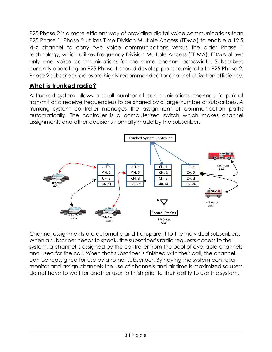P25 Phase 2 is a more efficient way of providing digital voice communications than P25 Phase 1. Phase 2 utilizes Time Division Multiple Access (TDMA) to enable a 12.5 kHz channel to carry two voice communications versus the older Phase 1 technology, which utilizes Frequency Division Multiple Access (FDMA). FDMA allows only one voice communications for the same channel bandwidth. Subscribers currently operating on P25 Phase 1 should develop plans to migrate to P25 Phase 2. Phase 2 subscriber radiosare highly recommended for channel utilization efficiency.

#### <span id="page-4-0"></span>**What is trunked radio?**

A trunked system allows a small number of communications channels (a pair of transmit and receive frequencies) to be shared by a large number of subscribers. A trunking system controller manages the assignment of communication paths automatically. The controller is a computerized switch which makes channel assignments and other decisions normally made by the subscriber.



Channel assignments are automatic and transparent to the individual subscribers. When a subscriber needs to speak, the subscriber's radio requests access to the system, a channel is assigned by the controller from the pool of available channels and used for the call. When that subscriber is finished with their call, the channel can be reassigned for use by another subscriber. By having the system controller monitor and assign channels the use of channels and air time is maximized so users do not have to wait for another user to finish prior to their ability to use the system.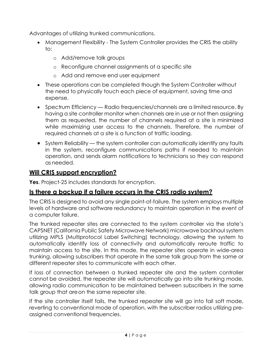Advantages of utilizing trunked communications.

- Management Flexibility The System Controller provides the CRIS the ability to:
	- o Add/remove talk groups
	- o Reconfigure channel assignments at a specific site
	- o Add and remove end user equipment
- These operations can be completed though the System Controller without the need to physically touch each piece of equipment, saving time and expense.
- Spectrum Efficiency Radio frequencies/channels are a limited resource. By having a site controller monitor when channels are in use or not then assigning them as requested, the number of channels required at a site is minimized while maximizing user access to the channels. Therefore, the number of required channels at a site is a function of traffic loading.
- System Reliability the system controller can automatically identify any faults in the system, reconfigure communications paths if needed to maintain operation, and sends alarm notifications to technicians so they can respond as needed.

#### <span id="page-5-0"></span>**Will CRIS support encryption?**

**Yes**. Project-25 includes standards for encryption.

#### <span id="page-5-1"></span>**Is there a backup if a failure occurs in the CRIS radio system?**

The CRIS is designed to avoid any single point-of-failure. The system employs multiple levels of hardware and software redundancy to maintain operation in the event of a computer failure.

The trunked repeater sites are connected to the system controller via the state's CAPSNET (California Public Safety Microwave Network) microwave backhaul system utilizing MPLS (Multiprotocol Label Switching) technology, allowing the system to automatically identify loss of connectivity and automatically reroute traffic to maintain access to the site. In this mode, the repeater sites operate in wide-area trunking, allowing subscribers that operate in the same talk group from the same or different repeater sites to communicate with each other.

If loss of connection between a trunked repeater site and the system controller cannot be avoided, the repeater site will automatically go into site trunking mode, allowing radio communication to be maintained between subscribers in the same talk group that areon the same repeater site.

If the site controller itself fails, the trunked repeater site will go into fail soft mode, reverting to conventional mode of operation, with the subscriber radios utilizing preassigned conventional frequencies.